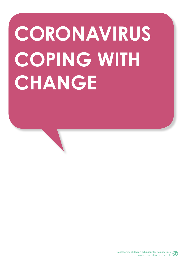# **CORONAVIRUS COPING WITH CHANGE**

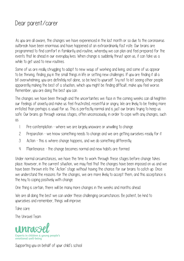#### Dear parent/carer

As you are all aware, the changes we have experienced in the last month or so due to the coronavirus outbreak have been enormous and have happened at an extraordinarily fast rate. Our brains are programmed to find comfort in familiarity and routine, whereby we can plan and feel prepared for the events that lie ahead in our everyday lives. When change is suddenly thrust upon us, it can take us a while to get used to new routines.

Some of us are really struggling to adapt to new ways of working and living, and some of us appear to be thriving, finding joy in the small things in life or setting new challenges. If you are finding it all a bit overwhelming, you are definitely not alone, so be kind to yourself. Try not to let seeing other people apparently making the best of a situation, which you might be finding difficult, make you feel worse. Remember, you are doing the best you can.

The changes we have been through and the uncertainties we face in the coming weeks can all heighten our feelings of anxiety and make us feel frustrated, resentful or angry. We are likely to be feeling more irritated than perhaps is usual for us. This is perfectly normal and is just our brains trying to keep us safe. Our brains go through various stages, often unconsciously, in order to cope with any changes, such as:

- 1. Pre-contemplation where we are largely unaware or unwilling to change
- 2. Preparation we know something needs to change and we are getting ourselves ready for it
- 3. Action this is where change happens, and we do something differently
- 4. Maintenance the change becomes normal and new habits are formed

Under normal circumstances, we have the time to work through these stages before change takes place. However, in the current situation, we may feel that the changes have been imposed on us and we have been thrown into the 'Action' stage without having the chance for our brains to catch up. Once we understand the reasons for the changes, we are more likely to accept them, and this acceptance is the key to coping positively with change.

One thing is certain, there will be many more changes in the weeks and months ahead.

We are all doing the best we can under these challenging circumstances. Be patient, be kind to yourselves and remember, things will improve.

Take care.

The Unravel Team



Supporting you on behalf of your child's school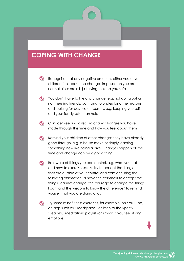### **COPING WITH CHANGE**

- Recognise that any negative emotions either you or your children feel about the changes imposed on you are normal. Your brain is just trying to keep you safe
- You don't have to like any change, e.g. not going out or not meeting friends, but trying to understand the reasons and looking for positive outcomes, e.g. keeping yourself and your family safe, can help
- Consider keeping a record of any changes you have made through this time and how you feel about them
- Remind your children of other changes they have already gone through, e.g. a house move or simply learning something new like riding a bike. Changes happen all the time and change can be a good thing
- Be aware of things you can control, e.g. what you eat  $\bullet$ and how to exercise safely. Try to accept the things that are outside of your control and consider using the following affirmation, "I have the calmness to accept the things I cannot change, the courage to change the things I can, and the wisdom to know the difference" to remind yourself that you are doing okay
- **Try some mindfulness exercises, for example, on You Tube,** an app such as 'Headspace', or listen to the Spotify 'Peaceful meditation' playlist (or similar) if you feel strong emotions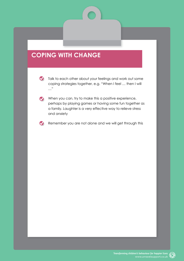### **COPING WITH CHANGE**

- Talk to each other about your feelings and work out some coping strategies together, e.g. "When I feel … then I will …"
- When you can, try to make this a positive experience, perhaps by playing games or having some fun together as a family. Laughter is a very effective way to relieve stress and anxiety
- Remember you are not alone and we will get through this  $\bullet$